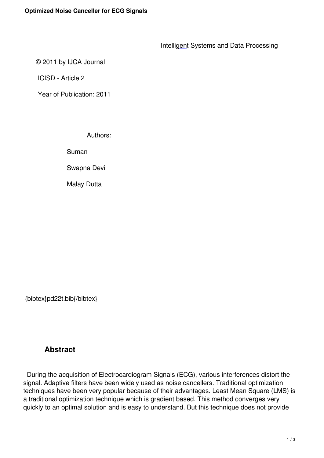#### © 2011 by IJCA Journal

 [IC](/icisd/number1/PD22T.pdf)ISD - Article 2

Year of Publication: 2011

Authors:

Suman

Swapna Devi

Malay Dutta

{bibtex}pd22t.bib{/bibtex}

# **Abstract**

 During the acquisition of Electrocardiogram Signals (ECG), various interferences distort the signal. Adaptive filters have been widely used as noise cancellers. Traditional optimization techniques have been very popular because of their advantages. Least Mean Square (LMS) is a traditional optimization technique which is gradient based. This method converges very quickly to an optimal solution and is easy to understand. But this technique does not provide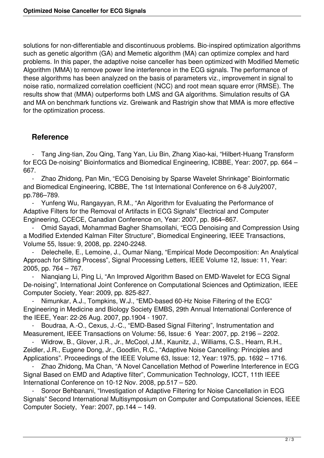solutions for non-differentiable and discontinuous problems. Bio-inspired optimization algorithms such as genetic algorithm (GA) and Memetic algorithm (MA) can optimize complex and hard problems. In this paper, the adaptive noise canceller has been optimized with Modified Memetic Algorithm (MMA) to remove power line interference in the ECG signals. The performance of these algorithms has been analyzed on the basis of parameters viz., improvement in signal to noise ratio, normalized correlation coefficient (NCC) and root mean square error (RMSE). The results show that (MMA) outperforms both LMS and GA algorithms. Simulation results of GA and MA on benchmark functions viz. Greiwank and Rastrigin show that MMA is more effective for the optimization process.

# **Reference**

 - Tang Jing-tian, Zou Qing, Tang Yan, Liu Bin, Zhang Xiao-kai, "Hilbert-Huang Transform for ECG De-noising" Bioinformatics and Biomedical Engineering, ICBBE, Year: 2007, pp. 664 – 667.

Zhao Zhidong, Pan Min, "ECG Denoising by Sparse Wavelet Shrinkage" Bioinformatic and Biomedical Engineering, ICBBE, The 1st International Conference on 6-8 July2007, pp.786–789.

 - Yunfeng Wu, Rangayyan, R.M., "An Algorithm for Evaluating the Performance of Adaptive Filters for the Removal of Artifacts in ECG Signals" Electrical and Computer Engineering, CCECE, Canadian Conference on, Year: 2007, pp. 864–867.

 - Omid Sayadi, Mohammad Bagher Shamsollahi, "ECG Denoising and Compression Using a Modified Extended Kalman Filter Structure", Biomedical Engineering, IEEE Transactions, Volume 55, Issue: 9, 2008, pp. 2240-2248.

Delechelle, E., Lemoine, J., Oumar Niang, "Empirical Mode Decomposition: An Analytical Approach for Sifting Process", Signal Processing Letters, IEEE Volume 12, Issue: 11, Year: 2005, pp. 764 – 767.

 - Nianqiang Li, Ping Li, "An Improved Algorithm Based on EMD-Wavelet for ECG Signal De-noising", International Joint Conference on Computational Sciences and Optimization, IEEE Computer Society, Year: 2009, pp. 825-827.

Nimunkar, A.J., Tompkins, W.J., "EMD-based 60-Hz Noise Filtering of the ECG" Engineering in Medicine and Biology Society EMBS, 29th Annual International Conference of the IEEE, Year: 22-26 Aug. 2007, pp.1904 - 1907.

Boudraa, A.-O., Cexus, J.-C., "EMD-Based Signal Filtering", Instrumentation and Measurement, IEEE Transactions on Volume: 56, Issue: 6 Year: 2007, pp. 2196 – 2202.

 - Widrow, B., Glover, J.R., Jr., McCool, J.M., Kaunitz, J., Williams, C.S., Hearn, R.H., Zeidler, J.R., Eugene Dong, Jr., Goodlin, R.C., "Adaptive Noise Cancelling: Principles and Applications". Proceedings of the IEEE Volume 63, Issue: 12, Year: 1975, pp. 1692 – 1716.

Zhao Zhidong, Ma Chan, "A Novel Cancellation Method of Powerline Interference in ECG Signal Based on EMD and Adaptive filter", Communication Technology, ICCT, 11th IEEE International Conference on 10-12 Nov. 2008, pp.517 – 520.

Soroor Behbanani, "Investigation of Adaptive Filtering for Noise Cancellation in ECG Signals" Second International Multisymposium on Computer and Computational Sciences, IEEE Computer Society, Year: 2007, pp.144 – 149.